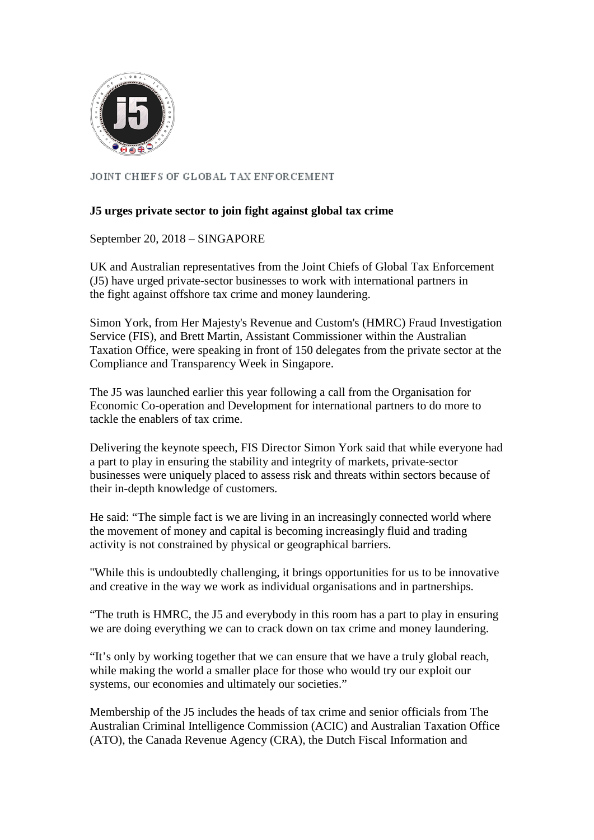

JOINT CHIEFS OF GLOBAL TAX ENFORCEMENT

## **J5 urges private sector to join fight against global tax crime**

September 20, 2018 – SINGAPORE

UK and Australian representatives from the Joint Chiefs of Global Tax Enforcement (J5) have urged private-sector businesses to work with international partners in the fight against offshore tax crime and money laundering.

Simon York, from Her Majesty's Revenue and Custom's (HMRC) Fraud Investigation Service (FIS), and Brett Martin, Assistant Commissioner within the Australian Taxation Office, were speaking in front of 150 delegates from the private sector at the Compliance and Transparency Week in Singapore.

The J5 was launched earlier this year following a call from the Organisation for Economic Co-operation and Development for international partners to do more to tackle the enablers of tax crime.

Delivering the keynote speech, FIS Director Simon York said that while everyone had a part to play in ensuring the stability and integrity of markets, private-sector businesses were uniquely placed to assess risk and threats within sectors because of their in-depth knowledge of customers.

He said: "The simple fact is we are living in an increasingly connected world where the movement of money and capital is becoming increasingly fluid and trading activity is not constrained by physical or geographical barriers.

"While this is undoubtedly challenging, it brings opportunities for us to be innovative and creative in the way we work as individual organisations and in partnerships.

"The truth is HMRC, the J5 and everybody in this room has a part to play in ensuring we are doing everything we can to crack down on tax crime and money laundering.

"It's only by working together that we can ensure that we have a truly global reach, while making the world a smaller place for those who would try our exploit our systems, our economies and ultimately our societies."

Membership of the J5 includes the heads of tax crime and senior officials from The Australian Criminal Intelligence Commission (ACIC) and Australian Taxation Office (ATO), the Canada Revenue Agency (CRA), the Dutch Fiscal Information and